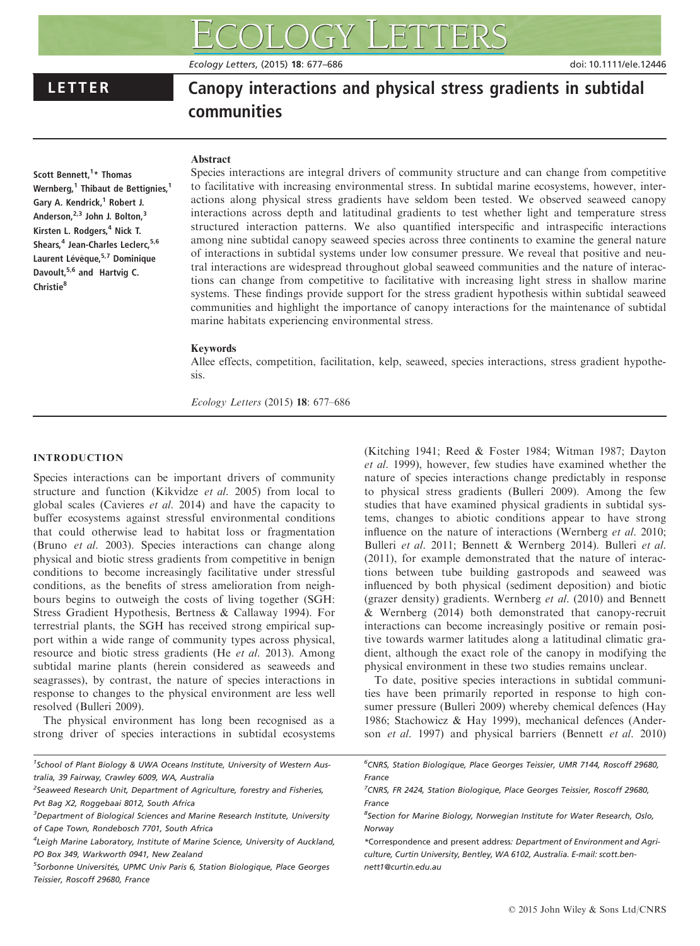Ecology Letters, (2015) 18: 677–686 doi: 10.1111/ele.12446

# LETTER Canopy interactions and physical stress gradients in subtidal communities

# **Abstract**

Scott Bennett,<sup>1</sup>\* Thomas Wernberg,<sup>1</sup> Thibaut de Bettignies,<sup>1</sup> Gary A. Kendrick,<sup>1</sup> Robert J. Anderson,<sup>2,3</sup> John J. Bolton,<sup>3</sup> Kirsten L. Rodgers.<sup>4</sup> Nick T. Shears,<sup>4</sup> Jean-Charles Leclerc,<sup>5,6</sup> Laurent Lévêque,<sup>5,7</sup> Dominique Davoult,<sup>5,6</sup> and Hartvig C. Christie<sup>8</sup>

Species interactions are integral drivers of community structure and can change from competitive to facilitative with increasing environmental stress. In subtidal marine ecosystems, however, interactions along physical stress gradients have seldom been tested. We observed seaweed canopy interactions across depth and latitudinal gradients to test whether light and temperature stress structured interaction patterns. We also quantified interspecific and intraspecific interactions among nine subtidal canopy seaweed species across three continents to examine the general nature of interactions in subtidal systems under low consumer pressure. We reveal that positive and neutral interactions are widespread throughout global seaweed communities and the nature of interactions can change from competitive to facilitative with increasing light stress in shallow marine systems. These findings provide support for the stress gradient hypothesis within subtidal seaweed communities and highlight the importance of canopy interactions for the maintenance of subtidal marine habitats experiencing environmental stress.

# Keywords

Allee effects, competition, facilitation, kelp, seaweed, species interactions, stress gradient hypothesis.

Ecology Letters (2015) 18: 677–686

# INTRODUCTION

Species interactions can be important drivers of community structure and function (Kikvidze et al. 2005) from local to global scales (Cavieres et al. 2014) and have the capacity to buffer ecosystems against stressful environmental conditions that could otherwise lead to habitat loss or fragmentation (Bruno et al. 2003). Species interactions can change along physical and biotic stress gradients from competitive in benign conditions to become increasingly facilitative under stressful conditions, as the benefits of stress amelioration from neighbours begins to outweigh the costs of living together (SGH: Stress Gradient Hypothesis, Bertness & Callaway 1994). For terrestrial plants, the SGH has received strong empirical support within a wide range of community types across physical, resource and biotic stress gradients (He et al. 2013). Among subtidal marine plants (herein considered as seaweeds and seagrasses), by contrast, the nature of species interactions in response to changes to the physical environment are less well resolved (Bulleri 2009).

The physical environment has long been recognised as a strong driver of species interactions in subtidal ecosystems (Kitching 1941; Reed & Foster 1984; Witman 1987; Dayton et al. 1999), however, few studies have examined whether the nature of species interactions change predictably in response to physical stress gradients (Bulleri 2009). Among the few studies that have examined physical gradients in subtidal systems, changes to abiotic conditions appear to have strong influence on the nature of interactions (Wernberg et al. 2010; Bulleri et al. 2011; Bennett & Wernberg 2014). Bulleri et al. (2011), for example demonstrated that the nature of interactions between tube building gastropods and seaweed was influenced by both physical (sediment deposition) and biotic (grazer density) gradients. Wernberg et al. (2010) and Bennett & Wernberg (2014) both demonstrated that canopy-recruit interactions can become increasingly positive or remain positive towards warmer latitudes along a latitudinal climatic gradient, although the exact role of the canopy in modifying the physical environment in these two studies remains unclear.

To date, positive species interactions in subtidal communities have been primarily reported in response to high consumer pressure (Bulleri 2009) whereby chemical defences (Hay 1986; Stachowicz & Hay 1999), mechanical defences (Anderson et al. 1997) and physical barriers (Bennett et al. 2010)

<sup>1</sup>School of Plant Biology & UWA Oceans Institute, University of Western Australia, 39 Fairway, Crawley 6009, WA, Australia

<sup>2</sup>Seaweed Research Unit, Department of Agriculture, forestry and Fisheries, Pvt Bag X2, Roggebaai 8012, South Africa

<sup>&</sup>lt;sup>3</sup>Department of Biological Sciences and Marine Research Institute, University of Cape Town, Rondebosch 7701, South Africa

<sup>&</sup>lt;sup>4</sup>Leigh Marine Laboratory, Institute of Marine Science, University of Auckland, PO Box 349, Warkworth 0941, New Zealand

<sup>&</sup>lt;sup>5</sup>Sorbonne Universités, UPMC Univ Paris 6, Station Biologique, Place Georges Teissier, Roscoff 29680, France

<sup>6</sup> CNRS, Station Biologique, Place Georges Teissier, UMR 7144, Roscoff 29680, France

<sup>&</sup>lt;sup>7</sup>CNRS, FR 2424, Station Biologique, Place Georges Teissier, Roscoff 29680, France

<sup>&</sup>lt;sup>8</sup>Section for Marine Biology, Norwegian Institute for Water Research, Oslo, Norway

<sup>\*</sup>Correspondence and present address: Department of Environment and Agriculture, Curtin University, Bentley, WA 6102, Australia. E-mail: scott.bennett1@curtin.edu.au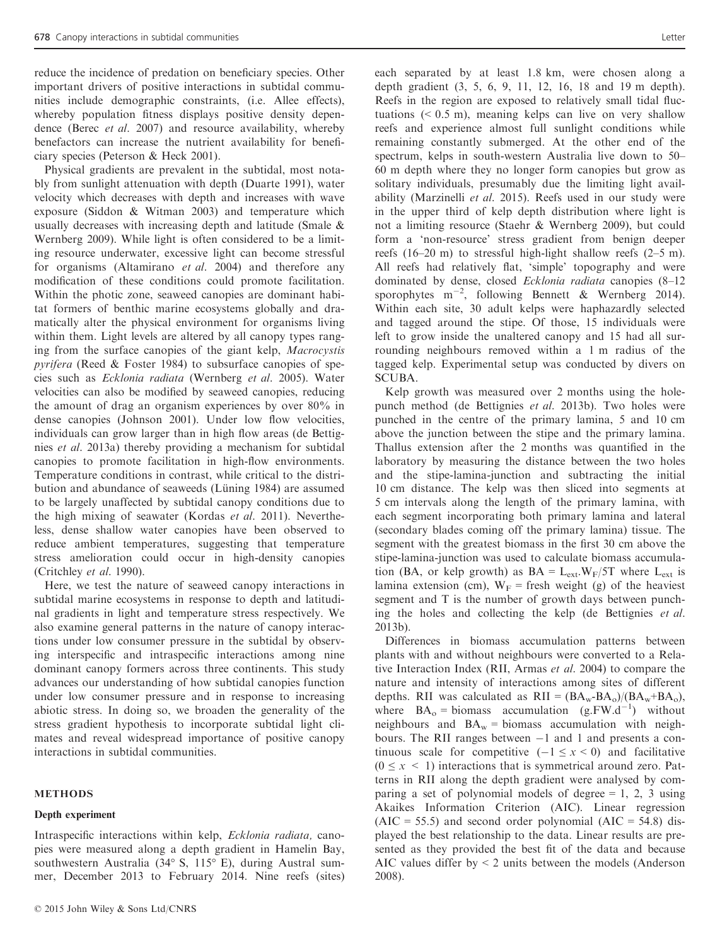reduce the incidence of predation on beneficiary species. Other important drivers of positive interactions in subtidal communities include demographic constraints, (i.e. Allee effects), whereby population fitness displays positive density dependence (Berec *et al.* 2007) and resource availability, whereby benefactors can increase the nutrient availability for beneficiary species (Peterson & Heck 2001).

Physical gradients are prevalent in the subtidal, most notably from sunlight attenuation with depth (Duarte 1991), water velocity which decreases with depth and increases with wave exposure (Siddon & Witman 2003) and temperature which usually decreases with increasing depth and latitude (Smale & Wernberg 2009). While light is often considered to be a limiting resource underwater, excessive light can become stressful for organisms (Altamirano et al. 2004) and therefore any modification of these conditions could promote facilitation. Within the photic zone, seaweed canopies are dominant habitat formers of benthic marine ecosystems globally and dramatically alter the physical environment for organisms living within them. Light levels are altered by all canopy types ranging from the surface canopies of the giant kelp, Macrocystis pyrifera (Reed  $& Foster$  1984) to subsurface canopies of species such as Ecklonia radiata (Wernberg et al. 2005). Water velocities can also be modified by seaweed canopies, reducing the amount of drag an organism experiences by over 80% in dense canopies (Johnson 2001). Under low flow velocities, individuals can grow larger than in high flow areas (de Bettignies et al. 2013a) thereby providing a mechanism for subtidal canopies to promote facilitation in high-flow environments. Temperature conditions in contrast, while critical to the distribution and abundance of seaweeds (Lüning 1984) are assumed to be largely unaffected by subtidal canopy conditions due to the high mixing of seawater (Kordas et al. 2011). Nevertheless, dense shallow water canopies have been observed to reduce ambient temperatures, suggesting that temperature stress amelioration could occur in high-density canopies (Critchley et al. 1990).

Here, we test the nature of seaweed canopy interactions in subtidal marine ecosystems in response to depth and latitudinal gradients in light and temperature stress respectively. We also examine general patterns in the nature of canopy interactions under low consumer pressure in the subtidal by observing interspecific and intraspecific interactions among nine dominant canopy formers across three continents. This study advances our understanding of how subtidal canopies function under low consumer pressure and in response to increasing abiotic stress. In doing so, we broaden the generality of the stress gradient hypothesis to incorporate subtidal light climates and reveal widespread importance of positive canopy interactions in subtidal communities.

#### METHODS

#### Depth experiment

Intraspecific interactions within kelp, Ecklonia radiata, canopies were measured along a depth gradient in Hamelin Bay, southwestern Australia (34 $\degree$  S, 115 $\degree$  E), during Austral summer, December 2013 to February 2014. Nine reefs (sites) each separated by at least 1.8 km, were chosen along a depth gradient (3, 5, 6, 9, 11, 12, 16, 18 and 19 m depth). Reefs in the region are exposed to relatively small tidal fluctuations (< 0.5 m), meaning kelps can live on very shallow reefs and experience almost full sunlight conditions while remaining constantly submerged. At the other end of the spectrum, kelps in south-western Australia live down to 50– 60 m depth where they no longer form canopies but grow as solitary individuals, presumably due the limiting light availability (Marzinelli et al. 2015). Reefs used in our study were in the upper third of kelp depth distribution where light is not a limiting resource (Staehr & Wernberg 2009), but could form a 'non-resource' stress gradient from benign deeper reefs (16–20 m) to stressful high-light shallow reefs (2–5 m). All reefs had relatively flat, 'simple' topography and were dominated by dense, closed Ecklonia radiata canopies (8–12 sporophytes  $m^{-2}$ , following Bennett & Wernberg 2014). Within each site, 30 adult kelps were haphazardly selected and tagged around the stipe. Of those, 15 individuals were left to grow inside the unaltered canopy and 15 had all surrounding neighbours removed within a 1 m radius of the tagged kelp. Experimental setup was conducted by divers on SCUBA.

Kelp growth was measured over 2 months using the holepunch method (de Bettignies et al. 2013b). Two holes were punched in the centre of the primary lamina, 5 and 10 cm above the junction between the stipe and the primary lamina. Thallus extension after the 2 months was quantified in the laboratory by measuring the distance between the two holes and the stipe-lamina-junction and subtracting the initial 10 cm distance. The kelp was then sliced into segments at 5 cm intervals along the length of the primary lamina, with each segment incorporating both primary lamina and lateral (secondary blades coming off the primary lamina) tissue. The segment with the greatest biomass in the first 30 cm above the stipe-lamina-junction was used to calculate biomass accumulation (BA, or kelp growth) as  $BA = L_{ext} \cdot W_F / 5T$  where  $L_{ext}$  is lamina extension (cm),  $W_F$  = fresh weight (g) of the heaviest segment and T is the number of growth days between punching the holes and collecting the kelp (de Bettignies et al. 2013b).

Differences in biomass accumulation patterns between plants with and without neighbours were converted to a Relative Interaction Index (RII, Armas et al. 2004) to compare the nature and intensity of interactions among sites of different depths. RII was calculated as  $RII = (BA_w-BA_o)/(BA_w+BA_o)$ , where  $BA_0 = \text{biomass}$  accumulation (g.FW.d<sup>-1</sup>) without neighbours and  $BA_w = \text{biomass}$  accumulation with neighbours. The RII ranges between  $-1$  and 1 and presents a continuous scale for competitive  $(-1 \le x < 0)$  and facilitative  $(0 \le x \le 1)$  interactions that is symmetrical around zero. Patterns in RII along the depth gradient were analysed by comparing a set of polynomial models of degree = 1, 2, 3 using Akaikes Information Criterion (AIC). Linear regression  $(AIC = 55.5)$  and second order polynomial  $(AIC = 54.8)$  displayed the best relationship to the data. Linear results are presented as they provided the best fit of the data and because AIC values differ by < 2 units between the models (Anderson 2008).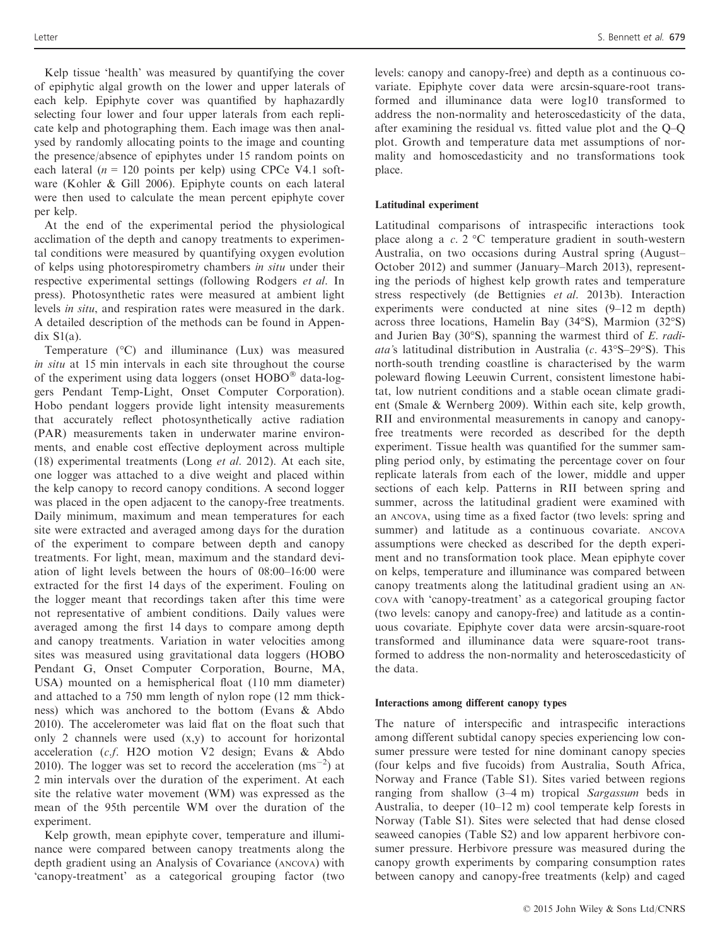Kelp tissue 'health' was measured by quantifying the cover of epiphytic algal growth on the lower and upper laterals of each kelp. Epiphyte cover was quantified by haphazardly selecting four lower and four upper laterals from each replicate kelp and photographing them. Each image was then analysed by randomly allocating points to the image and counting the presence/absence of epiphytes under 15 random points on each lateral ( $n = 120$  points per kelp) using CPCe V4.1 software (Kohler & Gill 2006). Epiphyte counts on each lateral were then used to calculate the mean percent epiphyte cover per kelp.

At the end of the experimental period the physiological acclimation of the depth and canopy treatments to experimental conditions were measured by quantifying oxygen evolution of kelps using photorespirometry chambers in situ under their respective experimental settings (following Rodgers et al. In press). Photosynthetic rates were measured at ambient light levels in situ, and respiration rates were measured in the dark. A detailed description of the methods can be found in Appendix S1(a).

Temperature  $(^{\circ}C)$  and illuminance (Lux) was measured in situ at 15 min intervals in each site throughout the course of the experiment using data loggers (onset  $HOBO^{\circledR}$  data-loggers Pendant Temp-Light, Onset Computer Corporation). Hobo pendant loggers provide light intensity measurements that accurately reflect photosynthetically active radiation (PAR) measurements taken in underwater marine environments, and enable cost effective deployment across multiple (18) experimental treatments (Long et al. 2012). At each site, one logger was attached to a dive weight and placed within the kelp canopy to record canopy conditions. A second logger was placed in the open adjacent to the canopy-free treatments. Daily minimum, maximum and mean temperatures for each site were extracted and averaged among days for the duration of the experiment to compare between depth and canopy treatments. For light, mean, maximum and the standard deviation of light levels between the hours of 08:00–16:00 were extracted for the first 14 days of the experiment. Fouling on the logger meant that recordings taken after this time were not representative of ambient conditions. Daily values were averaged among the first 14 days to compare among depth and canopy treatments. Variation in water velocities among sites was measured using gravitational data loggers (HOBO Pendant G, Onset Computer Corporation, Bourne, MA, USA) mounted on a hemispherical float (110 mm diameter) and attached to a 750 mm length of nylon rope (12 mm thickness) which was anchored to the bottom (Evans & Abdo 2010). The accelerometer was laid flat on the float such that only 2 channels were used  $(x,y)$  to account for horizontal acceleration (c.f. H2O motion V2 design; Evans & Abdo 2010). The logger was set to record the acceleration  $(ms^{-2})$  at 2 min intervals over the duration of the experiment. At each site the relative water movement (WM) was expressed as the mean of the 95th percentile WM over the duration of the experiment.

Kelp growth, mean epiphyte cover, temperature and illuminance were compared between canopy treatments along the depth gradient using an Analysis of Covariance (ANCOVA) with 'canopy-treatment' as a categorical grouping factor (two

levels: canopy and canopy-free) and depth as a continuous covariate. Epiphyte cover data were arcsin-square-root transformed and illuminance data were log10 transformed to address the non-normality and heteroscedasticity of the data, after examining the residual vs. fitted value plot and the Q–Q plot. Growth and temperature data met assumptions of normality and homoscedasticity and no transformations took place.

## Latitudinal experiment

Latitudinal comparisons of intraspecific interactions took place along a c. 2 °C temperature gradient in south-western Australia, on two occasions during Austral spring (August– October 2012) and summer (January–March 2013), representing the periods of highest kelp growth rates and temperature stress respectively (de Bettignies et al. 2013b). Interaction experiments were conducted at nine sites (9–12 m depth) across three locations, Hamelin Bay  $(34°S)$ , Marmion  $(32°S)$ and Jurien Bay (30 $\degree$ S), spanning the warmest third of E. radiata's latitudinal distribution in Australia (c.  $43^{\circ}S-29^{\circ}S$ ). This north-south trending coastline is characterised by the warm poleward flowing Leeuwin Current, consistent limestone habitat, low nutrient conditions and a stable ocean climate gradient (Smale & Wernberg 2009). Within each site, kelp growth, RII and environmental measurements in canopy and canopyfree treatments were recorded as described for the depth experiment. Tissue health was quantified for the summer sampling period only, by estimating the percentage cover on four replicate laterals from each of the lower, middle and upper sections of each kelp. Patterns in RII between spring and summer, across the latitudinal gradient were examined with an ANCOVA, using time as a fixed factor (two levels: spring and summer) and latitude as a continuous covariate. ANCOVA assumptions were checked as described for the depth experiment and no transformation took place. Mean epiphyte cover on kelps, temperature and illuminance was compared between canopy treatments along the latitudinal gradient using an AN-COVA with 'canopy-treatment' as a categorical grouping factor (two levels: canopy and canopy-free) and latitude as a continuous covariate. Epiphyte cover data were arcsin-square-root transformed and illuminance data were square-root transformed to address the non-normality and heteroscedasticity of the data.

# Interactions among different canopy types

The nature of interspecific and intraspecific interactions among different subtidal canopy species experiencing low consumer pressure were tested for nine dominant canopy species (four kelps and five fucoids) from Australia, South Africa, Norway and France (Table S1). Sites varied between regions ranging from shallow (3–4 m) tropical Sargassum beds in Australia, to deeper (10–12 m) cool temperate kelp forests in Norway (Table S1). Sites were selected that had dense closed seaweed canopies (Table S2) and low apparent herbivore consumer pressure. Herbivore pressure was measured during the canopy growth experiments by comparing consumption rates between canopy and canopy-free treatments (kelp) and caged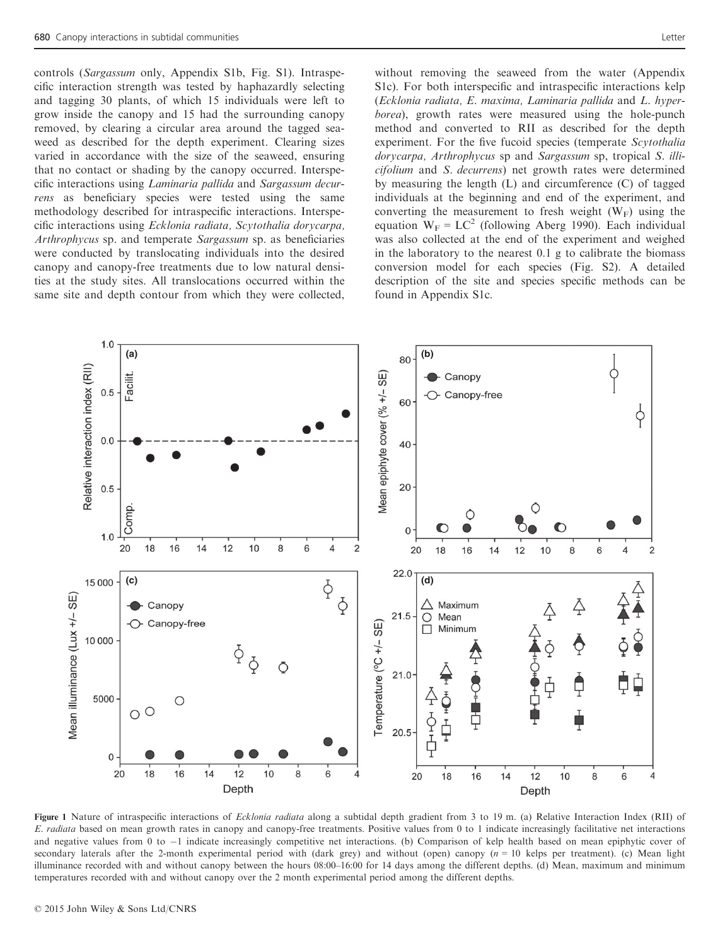controls (Sargassum only, Appendix S1b, Fig. S1). Intraspecific interaction strength was tested by haphazardly selecting and tagging 30 plants, of which 15 individuals were left to grow inside the canopy and 15 had the surrounding canopy removed, by clearing a circular area around the tagged seaweed as described for the depth experiment. Clearing sizes varied in accordance with the size of the seaweed, ensuring that no contact or shading by the canopy occurred. Interspecific interactions using Laminaria pallida and Sargassum decurrens as beneficiary species were tested using the same methodology described for intraspecific interactions. Interspecific interactions using Ecklonia radiata, Scytothalia dorycarpa, Arthrophycus sp. and temperate Sargassum sp. as beneficiaries were conducted by translocating individuals into the desired canopy and canopy-free treatments due to low natural densities at the study sites. All translocations occurred within the same site and depth contour from which they were collected,

without removing the seaweed from the water (Appendix S1c). For both interspecific and intraspecific interactions kelp (Ecklonia radiata, E. maxima, Laminaria pallida and L. hyperborea), growth rates were measured using the hole-punch method and converted to RII as described for the depth experiment. For the five fucoid species (temperate Scytothalia dorycarpa, Arthrophycus sp and Sargassum sp, tropical S. illicifolium and S. decurrens) net growth rates were determined by measuring the length (L) and circumference (C) of tagged individuals at the beginning and end of the experiment, and converting the measurement to fresh weight  $(W_F)$  using the equation  $W_F = LC^2$  (following Aberg 1990). Each individual was also collected at the end of the experiment and weighed in the laboratory to the nearest 0.1 g to calibrate the biomass conversion model for each species (Fig. S2). A detailed description of the site and species specific methods can be found in Appendix S1c.



Figure 1 Nature of intraspecific interactions of Ecklonia radiata along a subtidal depth gradient from 3 to 19 m. (a) Relative Interaction Index (RII) of E. radiata based on mean growth rates in canopy and canopy-free treatments. Positive values from 0 to 1 indicate increasingly facilitative net interactions and negative values from 0 to -1 indicate increasingly competitive net interactions. (b) Comparison of kelp health based on mean epiphytic cover of secondary laterals after the 2-month experimental period with (dark grey) and without (open) canopy  $(n = 10 \text{ kelps per treatment})$ . (c) Mean light illuminance recorded with and without canopy between the hours 08:00–16:00 for 14 days among the different depths. (d) Mean, maximum and minimum temperatures recorded with and without canopy over the 2 month experimental period among the different depths.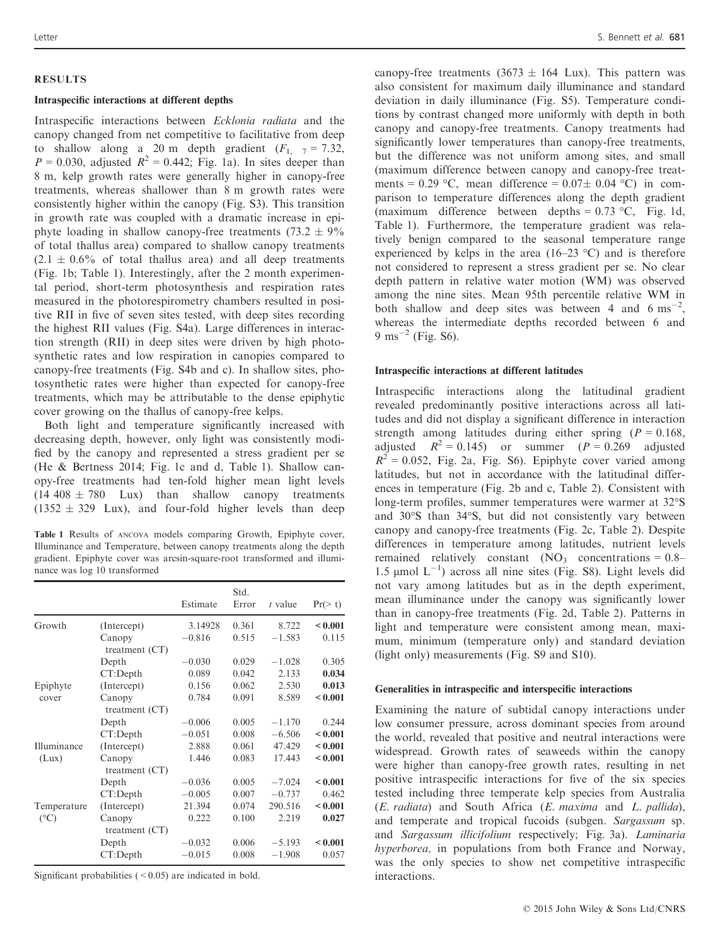#### RESULTS

#### Intraspecific interactions at different depths

Intraspecific interactions between Ecklonia radiata and the canopy changed from net competitive to facilitative from deep to shallow along a 20 m depth gradient  $(F_1, 7 = 7.32,$  $P = 0.030$ , adjusted  $R^2 = 0.442$ ; Fig. 1a). In sites deeper than 8 m, kelp growth rates were generally higher in canopy-free treatments, whereas shallower than 8 m growth rates were consistently higher within the canopy (Fig. S3). This transition in growth rate was coupled with a dramatic increase in epiphyte loading in shallow canopy-free treatments  $(73.2 \pm 9\%)$ of total thallus area) compared to shallow canopy treatments  $(2.1 \pm 0.6\%$  of total thallus area) and all deep treatments (Fig. 1b; Table 1). Interestingly, after the 2 month experimental period, short-term photosynthesis and respiration rates measured in the photorespirometry chambers resulted in positive RII in five of seven sites tested, with deep sites recording the highest RII values (Fig. S4a). Large differences in interaction strength (RII) in deep sites were driven by high photosynthetic rates and low respiration in canopies compared to canopy-free treatments (Fig. S4b and c). In shallow sites, photosynthetic rates were higher than expected for canopy-free treatments, which may be attributable to the dense epiphytic cover growing on the thallus of canopy-free kelps.

Both light and temperature significantly increased with decreasing depth, however, only light was consistently modified by the canopy and represented a stress gradient per se (He & Bertness 2014; Fig. 1c and d, Table 1). Shallow canopy-free treatments had ten-fold higher mean light levels  $(14 408 \pm 780$  Lux) than shallow canopy treatments  $(1352 \pm 329)$  Lux), and four-fold higher levels than deep

Table 1 Results of ANCOVA models comparing Growth, Epiphyte cover, Illuminance and Temperature, between canopy treatments along the depth gradient. Epiphyte cover was arcsin-square-root transformed and illuminance was log 10 transformed

|                              |                            | Estimate | Std.<br>Error | $t$ value | Pr(> t) |
|------------------------------|----------------------------|----------|---------------|-----------|---------|
| Growth                       | (Intercept)                | 3.14928  | 0.361         | 8.722     | < 0.001 |
|                              | Canopy<br>treatment $(CT)$ | $-0.816$ | 0.515         | $-1.583$  | 0.115   |
|                              | Depth                      | $-0.030$ | 0.029         | $-1.028$  | 0.305   |
|                              | CT:Depth                   | 0.089    | 0.042         | 2.133     | 0.034   |
| Epiphyte<br>cover            | (Intercept)                | 0.156    | 0.062         | 2.530     | 0.013   |
|                              | Canopy<br>treatment $(CT)$ | 0.784    | 0.091         | 8.589     | < 0.001 |
|                              | Depth                      | $-0.006$ | 0.005         | $-1.170$  | 0.244   |
|                              | CT:Depth                   | $-0.051$ | 0.008         | $-6.506$  | < 0.001 |
| Illuminance<br>(Lux)         | (Intercept)                | 2.888    | 0.061         | 47.429    | < 0.001 |
|                              | Canopy<br>treatment $(CT)$ | 1.446    | 0.083         | 17.443    | < 0.001 |
|                              | Depth                      | $-0.036$ | 0.005         | $-7.024$  | < 0.001 |
|                              | CT:Depth                   | $-0.005$ | 0.007         | $-0.737$  | 0.462   |
| Temperature<br>$(^{\circ}C)$ | (Intercept)                | 21.394   | 0.074         | 290.516   | < 0.001 |
|                              | Canopy<br>treatment $(CT)$ | 0.222    | 0.100         | 2.219     | 0.027   |
|                              | Depth                      | $-0.032$ | 0.006         | $-5.193$  | < 0.001 |
|                              | CT:Depth                   | $-0.015$ | 0.008         | $-1.908$  | 0.057   |

Significant probabilities  $( $0.05$ )$  are indicated in bold.

canopy-free treatments  $(3673 \pm 164 \text{ Lux})$ . This pattern was also consistent for maximum daily illuminance and standard deviation in daily illuminance (Fig. S5). Temperature conditions by contrast changed more uniformly with depth in both canopy and canopy-free treatments. Canopy treatments had significantly lower temperatures than canopy-free treatments, but the difference was not uniform among sites, and small (maximum difference between canopy and canopy-free treatments =  $0.29$  °C, mean difference =  $0.07 \pm 0.04$  °C) in comparison to temperature differences along the depth gradient (maximum difference between depths =  $0.73$  °C, Fig. 1d, Table 1). Furthermore, the temperature gradient was relatively benign compared to the seasonal temperature range experienced by kelps in the area (16–23 °C) and is therefore not considered to represent a stress gradient per se. No clear depth pattern in relative water motion (WM) was observed among the nine sites. Mean 95th percentile relative WM in both shallow and deep sites was between 4 and  $6 \text{ ms}^{-2}$ , whereas the intermediate depths recorded between 6 and  $9 \text{ ms}^{-2}$  (Fig. S6).

#### Intraspecific interactions at different latitudes

Intraspecific interactions along the latitudinal gradient revealed predominantly positive interactions across all latitudes and did not display a significant difference in interaction strength among latitudes during either spring  $(P = 0.168$ , adjusted  $R^2 = 0.145$  or summer ( $P = 0.269$  adjusted  $R^{2} = 0.052$ , Fig. 2a, Fig. S6). Epiphyte cover varied among latitudes, but not in accordance with the latitudinal differences in temperature (Fig. 2b and c, Table 2). Consistent with long-term profiles, summer temperatures were warmer at 32°S and 30°S than 34°S, but did not consistently vary between canopy and canopy-free treatments (Fig. 2c, Table 2). Despite differences in temperature among latitudes, nutrient levels remained relatively constant  $(NO<sub>3</sub>$  concentrations = 0.8– 1.5  $\mu$ mol L<sup>-1</sup>) across all nine sites (Fig. S8). Light levels did not vary among latitudes but as in the depth experiment, mean illuminance under the canopy was significantly lower than in canopy-free treatments (Fig. 2d, Table 2). Patterns in light and temperature were consistent among mean, maximum, minimum (temperature only) and standard deviation (light only) measurements (Fig. S9 and S10).

#### Generalities in intraspecific and interspecific interactions

Examining the nature of subtidal canopy interactions under low consumer pressure, across dominant species from around the world, revealed that positive and neutral interactions were widespread. Growth rates of seaweeds within the canopy were higher than canopy-free growth rates, resulting in net positive intraspecific interactions for five of the six species tested including three temperate kelp species from Australia (E. radiata) and South Africa (E. maxima and L. pallida), and temperate and tropical fucoids (subgen. Sargassum sp. and Sargassum illicifolium respectively; Fig. 3a). Laminaria hyperborea, in populations from both France and Norway, was the only species to show net competitive intraspecific interactions.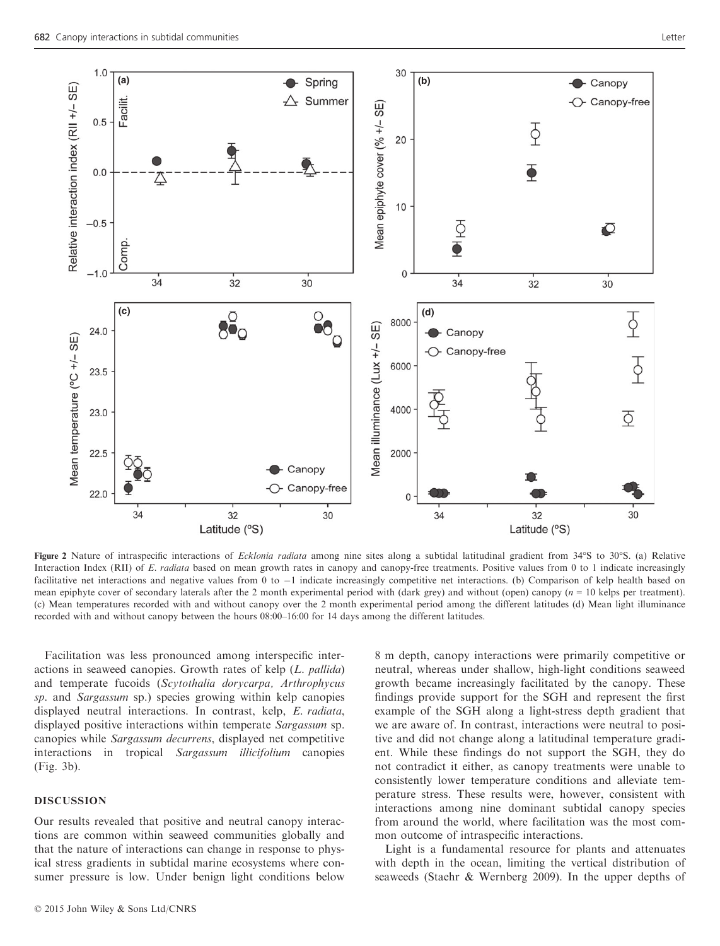

Figure 2 Nature of intraspecific interactions of Ecklonia radiata among nine sites along a subtidal latitudinal gradient from 34°S to 30°S. (a) Relative Interaction Index (RII) of E. radiata based on mean growth rates in canopy and canopy-free treatments. Positive values from 0 to 1 indicate increasingly facilitative net interactions and negative values from 0 to  $-1$  indicate increasingly competitive net interactions. (b) Comparison of kelp health based on mean epiphyte cover of secondary laterals after the 2 month experimental period with (dark grey) and without (open) canopy ( $n = 10$  kelps per treatment). (c) Mean temperatures recorded with and without canopy over the 2 month experimental period among the different latitudes (d) Mean light illuminance recorded with and without canopy between the hours 08:00–16:00 for 14 days among the different latitudes.

Facilitation was less pronounced among interspecific interactions in seaweed canopies. Growth rates of kelp (L. pallida) and temperate fucoids (Scytothalia dorycarpa, Arthrophycus sp. and Sargassum sp.) species growing within kelp canopies displayed neutral interactions. In contrast, kelp, E. radiata, displayed positive interactions within temperate Sargassum sp. canopies while Sargassum decurrens, displayed net competitive interactions in tropical Sargassum illicifolium canopies (Fig. 3b).

# DISCUSSION

Our results revealed that positive and neutral canopy interactions are common within seaweed communities globally and that the nature of interactions can change in response to physical stress gradients in subtidal marine ecosystems where consumer pressure is low. Under benign light conditions below

8 m depth, canopy interactions were primarily competitive or neutral, whereas under shallow, high-light conditions seaweed growth became increasingly facilitated by the canopy. These findings provide support for the SGH and represent the first example of the SGH along a light-stress depth gradient that we are aware of. In contrast, interactions were neutral to positive and did not change along a latitudinal temperature gradient. While these findings do not support the SGH, they do not contradict it either, as canopy treatments were unable to consistently lower temperature conditions and alleviate temperature stress. These results were, however, consistent with interactions among nine dominant subtidal canopy species from around the world, where facilitation was the most common outcome of intraspecific interactions.

Light is a fundamental resource for plants and attenuates with depth in the ocean, limiting the vertical distribution of seaweeds (Staehr & Wernberg 2009). In the upper depths of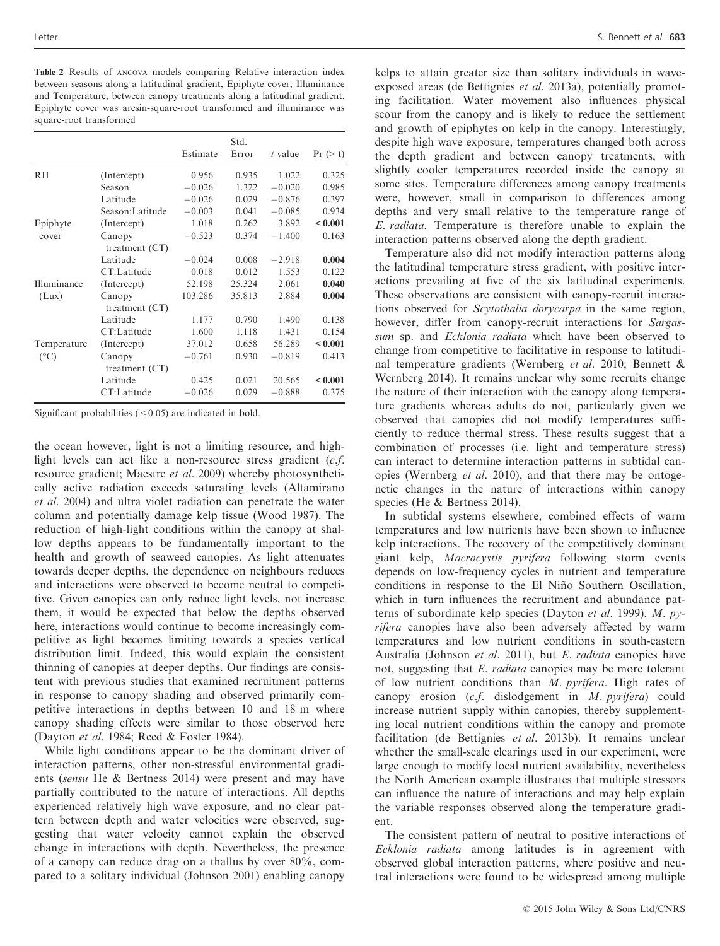Table 2 Results of ANCOVA models comparing Relative interaction index between seasons along a latitudinal gradient, Epiphyte cover, Illuminance and Temperature, between canopy treatments along a latitudinal gradient. Epiphyte cover was arcsin-square-root transformed and illuminance was square-root transformed

|                              |                  | Estimate | Std.<br>Error | $t$ value | Pr(> t) |
|------------------------------|------------------|----------|---------------|-----------|---------|
| <b>RII</b>                   | (Intercept)      | 0.956    | 0.935         | 1.022     | 0.325   |
|                              | Season           | $-0.026$ | 1.322         | $-0.020$  | 0.985   |
|                              | Latitude         | $-0.026$ | 0.029         | $-0.876$  | 0.397   |
|                              | Season:Latitude  | $-0.003$ | 0.041         | $-0.085$  | 0.934   |
| Epiphyte<br>cover            | (Intercept)      | 1.018    | 0.262         | 3.892     | < 0.001 |
|                              | Canopy           | $-0.523$ | 0.374         | $-1.400$  | 0.163   |
|                              | treatment $(CT)$ |          |               |           |         |
|                              | Latitude         | $-0.024$ | 0.008         | $-2.918$  | 0.004   |
|                              | CT:Latitude      | 0.018    | 0.012         | 1.553     | 0.122   |
| Illuminance<br>(Lux)         | (Intercept)      | 52.198   | 25.324        | 2.061     | 0.040   |
|                              | Canopy           | 103.286  | 35.813        | 2.884     | 0.004   |
|                              | treatment $(CT)$ |          |               |           |         |
|                              | Latitude         | 1.177    | 0.790         | 1.490     | 0.138   |
|                              | CT:Latitude      | 1.600    | 1.118         | 1.431     | 0.154   |
| Temperature<br>$(^{\circ}C)$ | (Intercept)      | 37.012   | 0.658         | 56.289    | < 0.001 |
|                              | Canopy           | $-0.761$ | 0.930         | $-0.819$  | 0.413   |
|                              | treatment (CT)   |          |               |           |         |
|                              | Latitude         | 0.425    | 0.021         | 20.565    | < 0.001 |
|                              | CT:Latitude      | $-0.026$ | 0.029         | $-0.888$  | 0.375   |
|                              |                  |          |               |           |         |

Significant probabilities  $( $0.05$ )$  are indicated in bold.

the ocean however, light is not a limiting resource, and highlight levels can act like a non-resource stress gradient  $(c.f.)$ resource gradient; Maestre et al. 2009) whereby photosynthetically active radiation exceeds saturating levels (Altamirano et al. 2004) and ultra violet radiation can penetrate the water column and potentially damage kelp tissue (Wood 1987). The reduction of high-light conditions within the canopy at shallow depths appears to be fundamentally important to the health and growth of seaweed canopies. As light attenuates towards deeper depths, the dependence on neighbours reduces and interactions were observed to become neutral to competitive. Given canopies can only reduce light levels, not increase them, it would be expected that below the depths observed here, interactions would continue to become increasingly competitive as light becomes limiting towards a species vertical distribution limit. Indeed, this would explain the consistent thinning of canopies at deeper depths. Our findings are consistent with previous studies that examined recruitment patterns in response to canopy shading and observed primarily competitive interactions in depths between 10 and 18 m where canopy shading effects were similar to those observed here (Dayton et al. 1984; Reed & Foster 1984).

While light conditions appear to be the dominant driver of interaction patterns, other non-stressful environmental gradients (sensu He & Bertness 2014) were present and may have partially contributed to the nature of interactions. All depths experienced relatively high wave exposure, and no clear pattern between depth and water velocities were observed, suggesting that water velocity cannot explain the observed change in interactions with depth. Nevertheless, the presence of a canopy can reduce drag on a thallus by over 80%, compared to a solitary individual (Johnson 2001) enabling canopy

kelps to attain greater size than solitary individuals in waveexposed areas (de Bettignies et al. 2013a), potentially promoting facilitation. Water movement also influences physical scour from the canopy and is likely to reduce the settlement and growth of epiphytes on kelp in the canopy. Interestingly, despite high wave exposure, temperatures changed both across the depth gradient and between canopy treatments, with slightly cooler temperatures recorded inside the canopy at some sites. Temperature differences among canopy treatments were, however, small in comparison to differences among depths and very small relative to the temperature range of E. radiata. Temperature is therefore unable to explain the interaction patterns observed along the depth gradient.

Temperature also did not modify interaction patterns along the latitudinal temperature stress gradient, with positive interactions prevailing at five of the six latitudinal experiments. These observations are consistent with canopy-recruit interactions observed for Scytothalia dorycarpa in the same region, however, differ from canopy-recruit interactions for Sargassum sp. and Ecklonia radiata which have been observed to change from competitive to facilitative in response to latitudinal temperature gradients (Wernberg et al. 2010; Bennett & Wernberg 2014). It remains unclear why some recruits change the nature of their interaction with the canopy along temperature gradients whereas adults do not, particularly given we observed that canopies did not modify temperatures sufficiently to reduce thermal stress. These results suggest that a combination of processes (i.e. light and temperature stress) can interact to determine interaction patterns in subtidal canopies (Wernberg et al. 2010), and that there may be ontogenetic changes in the nature of interactions within canopy species (He & Bertness 2014).

In subtidal systems elsewhere, combined effects of warm temperatures and low nutrients have been shown to influence kelp interactions. The recovery of the competitively dominant giant kelp, Macrocystis pyrifera following storm events depends on low-frequency cycles in nutrient and temperature conditions in response to the El Niño Southern Oscillation, which in turn influences the recruitment and abundance patterns of subordinate kelp species (Dayton et al. 1999). M. pyrifera canopies have also been adversely affected by warm temperatures and low nutrient conditions in south-eastern Australia (Johnson et al. 2011), but E. radiata canopies have not, suggesting that *E. radiata* canopies may be more tolerant of low nutrient conditions than M. pyrifera. High rates of canopy erosion (c.f. dislodgement in M. pyrifera) could increase nutrient supply within canopies, thereby supplementing local nutrient conditions within the canopy and promote facilitation (de Bettignies et al. 2013b). It remains unclear whether the small-scale clearings used in our experiment, were large enough to modify local nutrient availability, nevertheless the North American example illustrates that multiple stressors can influence the nature of interactions and may help explain the variable responses observed along the temperature gradient.

The consistent pattern of neutral to positive interactions of Ecklonia radiata among latitudes is in agreement with observed global interaction patterns, where positive and neutral interactions were found to be widespread among multiple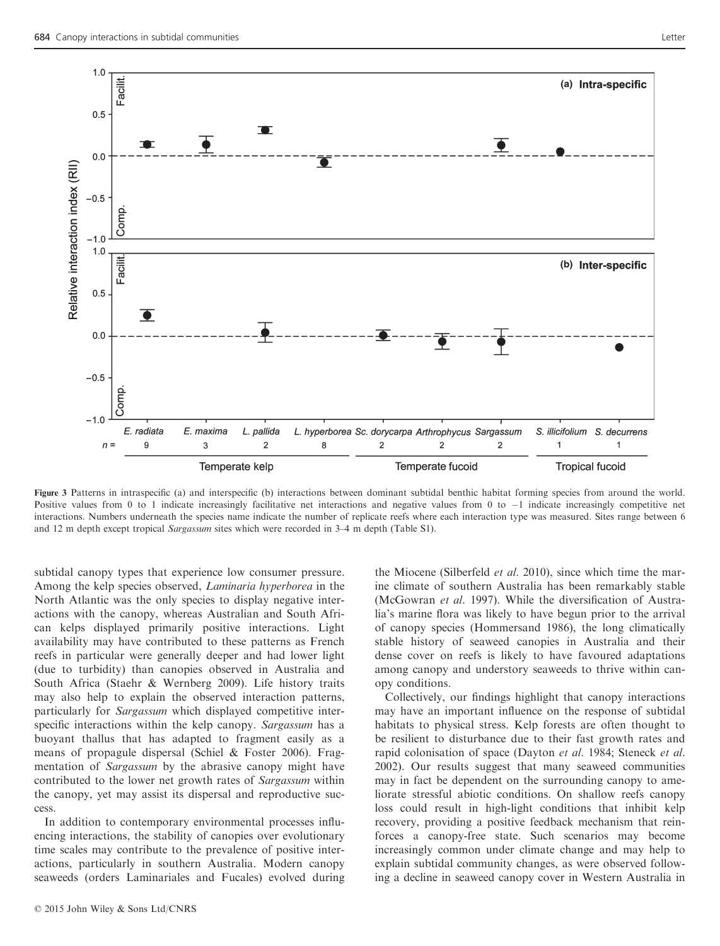

Figure 3 Patterns in intraspecific (a) and interspecific (b) interactions between dominant subtidal benthic habitat forming species from around the world. Positive values from 0 to 1 indicate increasingly facilitative net interactions and negative values from 0 to  $-1$  indicate increasingly competitive net interactions. Numbers underneath the species name indicate the number of replicate reefs where each interaction type was measured. Sites range between 6 and 12 m depth except tropical *Sargassum* sites which were recorded in 3–4 m depth (Table S1).

subtidal canopy types that experience low consumer pressure. Among the kelp species observed, Laminaria hyperborea in the North Atlantic was the only species to display negative interactions with the canopy, whereas Australian and South African kelps displayed primarily positive interactions. Light availability may have contributed to these patterns as French reefs in particular were generally deeper and had lower light (due to turbidity) than canopies observed in Australia and South Africa (Staehr & Wernberg 2009). Life history traits may also help to explain the observed interaction patterns, particularly for Sargassum which displayed competitive interspecific interactions within the kelp canopy. Sargassum has a buoyant thallus that has adapted to fragment easily as a means of propagule dispersal (Schiel & Foster 2006). Fragmentation of Sargassum by the abrasive canopy might have contributed to the lower net growth rates of Sargassum within the canopy, yet may assist its dispersal and reproductive success.

In addition to contemporary environmental processes influencing interactions, the stability of canopies over evolutionary time scales may contribute to the prevalence of positive interactions, particularly in southern Australia. Modern canopy seaweeds (orders Laminariales and Fucales) evolved during the Miocene (Silberfeld *et al.* 2010), since which time the marine climate of southern Australia has been remarkably stable (McGowran et al. 1997). While the diversification of Australia's marine flora was likely to have begun prior to the arrival of canopy species (Hommersand 1986), the long climatically stable history of seaweed canopies in Australia and their dense cover on reefs is likely to have favoured adaptations among canopy and understory seaweeds to thrive within canopy conditions.

Collectively, our findings highlight that canopy interactions may have an important influence on the response of subtidal habitats to physical stress. Kelp forests are often thought to be resilient to disturbance due to their fast growth rates and rapid colonisation of space (Dayton et al. 1984; Steneck et al. 2002). Our results suggest that many seaweed communities may in fact be dependent on the surrounding canopy to ameliorate stressful abiotic conditions. On shallow reefs canopy loss could result in high-light conditions that inhibit kelp recovery, providing a positive feedback mechanism that reinforces a canopy-free state. Such scenarios may become increasingly common under climate change and may help to explain subtidal community changes, as were observed following a decline in seaweed canopy cover in Western Australia in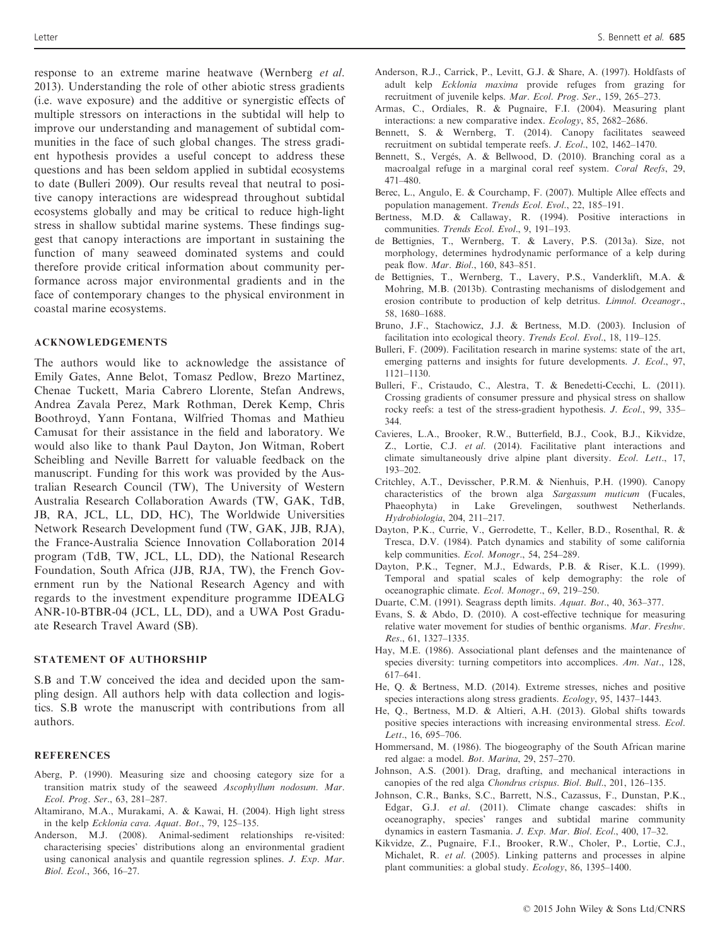response to an extreme marine heatwave (Wernberg et al. 2013). Understanding the role of other abiotic stress gradients (i.e. wave exposure) and the additive or synergistic effects of multiple stressors on interactions in the subtidal will help to improve our understanding and management of subtidal communities in the face of such global changes. The stress gradient hypothesis provides a useful concept to address these questions and has been seldom applied in subtidal ecosystems to date (Bulleri 2009). Our results reveal that neutral to positive canopy interactions are widespread throughout subtidal ecosystems globally and may be critical to reduce high-light stress in shallow subtidal marine systems. These findings suggest that canopy interactions are important in sustaining the function of many seaweed dominated systems and could therefore provide critical information about community performance across major environmental gradients and in the face of contemporary changes to the physical environment in coastal marine ecosystems.

#### ACKNOWLEDGEMENTS

The authors would like to acknowledge the assistance of Emily Gates, Anne Belot, Tomasz Pedlow, Brezo Martinez, Chenae Tuckett, Maria Cabrero Llorente, Stefan Andrews, Andrea Zavala Perez, Mark Rothman, Derek Kemp, Chris Boothroyd, Yann Fontana, Wilfried Thomas and Mathieu Camusat for their assistance in the field and laboratory. We would also like to thank Paul Dayton, Jon Witman, Robert Scheibling and Neville Barrett for valuable feedback on the manuscript. Funding for this work was provided by the Australian Research Council (TW), The University of Western Australia Research Collaboration Awards (TW, GAK, TdB, JB, RA, JCL, LL, DD, HC), The Worldwide Universities Network Research Development fund (TW, GAK, JJB, RJA), the France-Australia Science Innovation Collaboration 2014 program (TdB, TW, JCL, LL, DD), the National Research Foundation, South Africa (JJB, RJA, TW), the French Government run by the National Research Agency and with regards to the investment expenditure programme IDEALG ANR-10-BTBR-04 (JCL, LL, DD), and a UWA Post Graduate Research Travel Award (SB).

#### STATEMENT OF AUTHORSHIP

S.B and T.W conceived the idea and decided upon the sampling design. All authors help with data collection and logistics. S.B wrote the manuscript with contributions from all authors.

#### REFERENCES

- Aberg, P. (1990). Measuring size and choosing category size for a transition matrix study of the seaweed Ascophyllum nodosum. Mar. Ecol. Prog. Ser., 63, 281–287.
- Altamirano, M.A., Murakami, A. & Kawai, H. (2004). High light stress in the kelp Ecklonia cava. Aquat. Bot., 79, 125–135.
- Anderson, M.J. (2008). Animal-sediment relationships re-visited: characterising species' distributions along an environmental gradient using canonical analysis and quantile regression splines. J. Exp. Mar. Biol. Ecol., 366, 16–27.
- Anderson, R.J., Carrick, P., Levitt, G.J. & Share, A. (1997). Holdfasts of adult kelp Ecklonia maxima provide refuges from grazing for recruitment of juvenile kelps. Mar. Ecol. Prog. Ser., 159, 265–273.
- Armas, C., Ordiales, R. & Pugnaire, F.I. (2004). Measuring plant interactions: a new comparative index. Ecology, 85, 2682–2686.
- Bennett, S. & Wernberg, T. (2014). Canopy facilitates seaweed recruitment on subtidal temperate reefs. J. Ecol., 102, 1462–1470.
- Bennett, S., Vergés, A. & Bellwood, D. (2010). Branching coral as a macroalgal refuge in a marginal coral reef system. Coral Reefs, 29, 471–480.
- Berec, L., Angulo, E. & Courchamp, F. (2007). Multiple Allee effects and population management. Trends Ecol. Evol., 22, 185–191.
- Bertness, M.D. & Callaway, R. (1994). Positive interactions in communities. Trends Ecol. Evol., 9, 191–193.
- de Bettignies, T., Wernberg, T. & Lavery, P.S. (2013a). Size, not morphology, determines hydrodynamic performance of a kelp during peak flow. Mar. Biol., 160, 843–851.
- de Bettignies, T., Wernberg, T., Lavery, P.S., Vanderklift, M.A. & Mohring, M.B. (2013b). Contrasting mechanisms of dislodgement and erosion contribute to production of kelp detritus. Limnol. Oceanogr., 58, 1680–1688.
- Bruno, J.F., Stachowicz, J.J. & Bertness, M.D. (2003). Inclusion of facilitation into ecological theory. Trends Ecol. Evol., 18, 119–125.
- Bulleri, F. (2009). Facilitation research in marine systems: state of the art, emerging patterns and insights for future developments. J. Ecol., 97, 1121–1130.
- Bulleri, F., Cristaudo, C., Alestra, T. & Benedetti-Cecchi, L. (2011). Crossing gradients of consumer pressure and physical stress on shallow rocky reefs: a test of the stress-gradient hypothesis. J. Ecol., 99, 335– 344.
- Cavieres, L.A., Brooker, R.W., Butterfield, B.J., Cook, B.J., Kikvidze, Z., Lortie, C.J. et al. (2014). Facilitative plant interactions and climate simultaneously drive alpine plant diversity. Ecol. Lett., 17, 193–202.
- Critchley, A.T., Devisscher, P.R.M. & Nienhuis, P.H. (1990). Canopy characteristics of the brown alga Sargassum muticum (Fucales, Phaeophyta) in Lake Grevelingen, southwest Netherlands. Hydrobiologia, 204, 211–217.
- Dayton, P.K., Currie, V., Gerrodette, T., Keller, B.D., Rosenthal, R. & Tresca, D.V. (1984). Patch dynamics and stability of some california kelp communities. Ecol. Monogr., 54, 254–289.
- Dayton, P.K., Tegner, M.J., Edwards, P.B. & Riser, K.L. (1999). Temporal and spatial scales of kelp demography: the role of oceanographic climate. Ecol. Monogr., 69, 219–250.
- Duarte, C.M. (1991). Seagrass depth limits. Aquat. Bot., 40, 363–377.
- Evans, S. & Abdo, D. (2010). A cost-effective technique for measuring relative water movement for studies of benthic organisms. Mar. Freshw. Res., 61, 1327–1335.
- Hay, M.E. (1986). Associational plant defenses and the maintenance of species diversity: turning competitors into accomplices. Am. Nat., 128, 617–641.
- He, Q. & Bertness, M.D. (2014). Extreme stresses, niches and positive species interactions along stress gradients. Ecology, 95, 1437–1443.
- He, Q., Bertness, M.D. & Altieri, A.H. (2013). Global shifts towards positive species interactions with increasing environmental stress. Ecol. Lett., 16, 695-706.
- Hommersand, M. (1986). The biogeography of the South African marine red algae: a model. Bot. Marina, 29, 257–270.
- Johnson, A.S. (2001). Drag, drafting, and mechanical interactions in canopies of the red alga Chondrus crispus. Biol. Bull., 201, 126–135.
- Johnson, C.R., Banks, S.C., Barrett, N.S., Cazassus, F., Dunstan, P.K., Edgar, G.J. et al. (2011). Climate change cascades: shifts in oceanography, species' ranges and subtidal marine community dynamics in eastern Tasmania. J. Exp. Mar. Biol. Ecol., 400, 17–32.
- Kikvidze, Z., Pugnaire, F.I., Brooker, R.W., Choler, P., Lortie, C.J., Michalet, R. et al. (2005). Linking patterns and processes in alpine plant communities: a global study. Ecology, 86, 1395–1400.